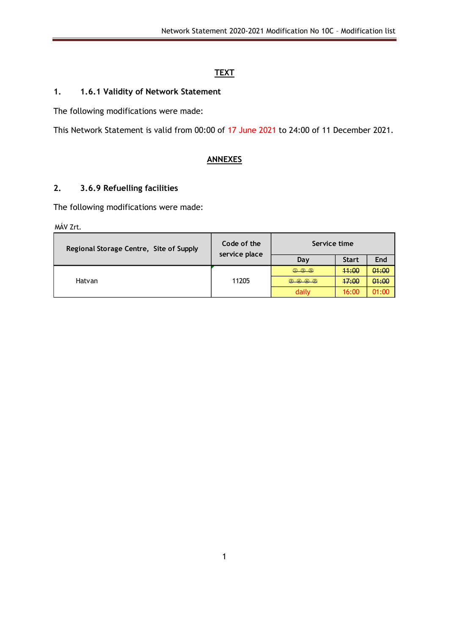## **TEXT**

## **1. 1.6.1 Validity of Network Statement**

The following modifications were made:

This Network Statement is valid from 00:00 of 17 June 2021 to 24:00 of 11 December 2021.

# **ANNEXES**

## **2. 3.6.9 Refuelling facilities**

The following modifications were made:

MÁV Zrt.

| Regional Storage Centre, Site of Supply | Code of the<br>service place | Service time      |              |       |
|-----------------------------------------|------------------------------|-------------------|--------------|-------|
|                                         |                              | Day               | <b>Start</b> | End   |
|                                         |                              | 0,0.0             | 44:00        | 01:00 |
| Hatvan                                  | 11205                        | $Q_0 Q_1 Q_2 Q_2$ | 47:00        | 01:00 |
|                                         |                              | daily             | 16:00        | 01:00 |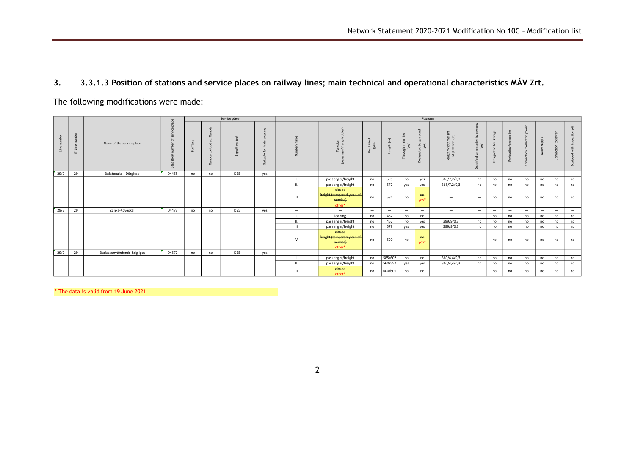### **3. 3.3.1.3 Position of stations and service places on railway lines; main technical and operational characteristics MÁV Zrt.**

The following modifications were made:

|      |        |                             |       |         |    | Service place        |                        |                          |                                                             |                                      |                          |                                                                     | Platform                                                                |                                                              |                                                            |                                              |                          |                                               |                             |                          |                          |
|------|--------|-----------------------------|-------|---------|----|----------------------|------------------------|--------------------------|-------------------------------------------------------------|--------------------------------------|--------------------------|---------------------------------------------------------------------|-------------------------------------------------------------------------|--------------------------------------------------------------|------------------------------------------------------------|----------------------------------------------|--------------------------|-----------------------------------------------|-----------------------------|--------------------------|--------------------------|
|      | Е<br>E | Name of the service place   | ä     | ăπ<br>್ | æ  | ਨ<br>Ξ<br>Signalling | E<br>$\mathbf{a}$<br>್ |                          | Æ                                                           | $\mathbf{r}$<br>Electrifies<br>(yes) | $\Rightarrow$<br>gth (n  | E<br>$\epsilon$<br>Trai<br>$\widehat{\omega}$<br>$\frac{1}{2}$<br>2 | ত<br>ē<br>$\frac{1}{20}$<br>$5\%$<br>ా క<br>gna<br>$\overline{5}$<br>ది | $\frac{1}{50}$ $\sim$<br>夏旦<br>ngth/width/f<br>of platform i | 8<br>$\geq$<br>occupied<br>(yes)<br>å<br>ied<br>$\pm$<br>ರ | ň<br>$\rightarrow$<br>$\mathbf{r}$<br>$\sim$ |                          | 8<br>$\overline{u}$<br>Ħ<br>$\mathbf{S}$<br>ී | Ajddr<br>$\bar{a}$<br>Water | $\mathbf{c}$<br>ී        | qqin                     |
| 29/2 | 29     | Balatonakali-Dörgicse       | 04465 | no      | no | <b>D55</b>           | yes                    | $\overline{\phantom{0}}$ | $\overline{\phantom{0}}$                                    | $\overline{\phantom{0}}$             | $-$                      | $\overline{\phantom{0}}$                                            | $\hspace{0.1mm}-\hspace{0.1mm}$                                         | $\overline{\phantom{0}}$                                     | $\overline{\phantom{0}}$                                   | $\overline{\phantom{a}}$                     | $\overline{\phantom{0}}$ | $\overline{\phantom{0}}$                      | $\overline{\phantom{a}}$    | $\overline{\phantom{0}}$ | $\overline{\phantom{0}}$ |
|      |        |                             |       |         |    |                      |                        |                          | passenger/freight                                           | no                                   | 595                      | no                                                                  | yes                                                                     | 368/7,2/0,3                                                  | no                                                         | no                                           | no                       | no                                            | no                          | no                       | no                       |
|      |        |                             |       |         |    |                      |                        | $\mathbf{u}$             | passenger/freight                                           | no                                   | 572                      | yes                                                                 | yes                                                                     | 368/7,2/0,3                                                  | no                                                         | no                                           | no                       | no                                            | no                          | no                       | no                       |
|      |        |                             |       |         |    |                      |                        | III.                     | elosed<br>freight (temporarily out of<br>service)<br>other* | no                                   | 581                      | no                                                                  | he<br>yes*                                                              | $\overline{\phantom{0}}$                                     |                                                            | no                                           | no                       | no                                            | no                          | no                       | no                       |
| 29/2 | 29     | Zánka-Köveskál              | 04473 | no      | no | <b>D55</b>           | yes                    | $\overline{\phantom{a}}$ | $\overline{\phantom{a}}$                                    | $-$                                  | $-$                      | $\overline{\phantom{a}}$                                            | $\hspace{0.1mm}-\hspace{0.1mm}$                                         | $\overline{\phantom{0}}$                                     |                                                            | $\overline{\phantom{a}}$                     | $\overline{\phantom{a}}$ |                                               |                             | $\overline{\phantom{0}}$ | $\overline{\phantom{0}}$ |
|      |        |                             |       |         |    |                      |                        |                          | loading                                                     | no                                   | 462                      | no                                                                  | no                                                                      | $\overline{\phantom{0}}$                                     | $\qquad \qquad -$                                          | no                                           | no                       | no                                            | no                          | no                       | no                       |
|      |        |                             |       |         |    |                      |                        |                          | passenger/freight                                           | no                                   | 467                      | no                                                                  | yes                                                                     | 399/9/0,3                                                    | no                                                         | no                                           | no                       | no                                            | no                          | no                       | no                       |
|      |        |                             |       |         |    |                      |                        | III.                     | passenger/freight                                           | no                                   | 579                      | yes                                                                 | yes                                                                     | 399/9/0,3                                                    | no                                                         | no                                           | no                       | no                                            | no                          | no                       | no                       |
|      |        |                             |       |         |    |                      |                        | IV.                      | closed<br>freight (temporarily out of<br>service)<br>other* | no                                   | 590                      | no                                                                  | $A\Theta$<br>yes*                                                       | $\overline{\phantom{0}}$                                     |                                                            | no                                           | no                       | no                                            | no                          | no                       | no                       |
| 29/2 | 29     | Badacsonytördemic-Szigliget | 04572 | no      | no | <b>D55</b>           | yes                    | $\overline{\phantom{m}}$ | $\overline{\phantom{0}}$                                    | $\overline{\phantom{0}}$             | $\overline{\phantom{0}}$ | $\overline{\phantom{m}}$                                            | $\overline{\phantom{m}}$                                                | $\overline{\phantom{0}}$                                     | $\overline{\phantom{0}}$                                   |                                              | $\overline{\phantom{a}}$ | $\overline{\phantom{0}}$                      |                             | $\overline{\phantom{a}}$ | $\overline{\phantom{0}}$ |
|      |        |                             |       |         |    |                      |                        |                          | passenger/freight                                           | no                                   | 585/602                  | no                                                                  | no                                                                      | 360/4,4/0,3                                                  | no                                                         | no                                           | no                       | no                                            | no                          | no                       | no                       |
|      |        |                             |       |         |    |                      |                        | $\mathbf{u}$             | passenger/freight                                           | no                                   | 560/557                  | yes                                                                 | yes                                                                     | 360/4,4/0,3                                                  | no                                                         | no                                           | no                       | no                                            | no                          | no                       | no                       |
|      |        |                             |       |         |    |                      |                        | III.                     | closed<br>other*                                            | no                                   | 600/601                  | no                                                                  | no                                                                      | $\overline{\phantom{0}}$                                     |                                                            | no                                           | no                       | no                                            | no                          | no                       | no                       |

\* The data is valid from 19 June 2021